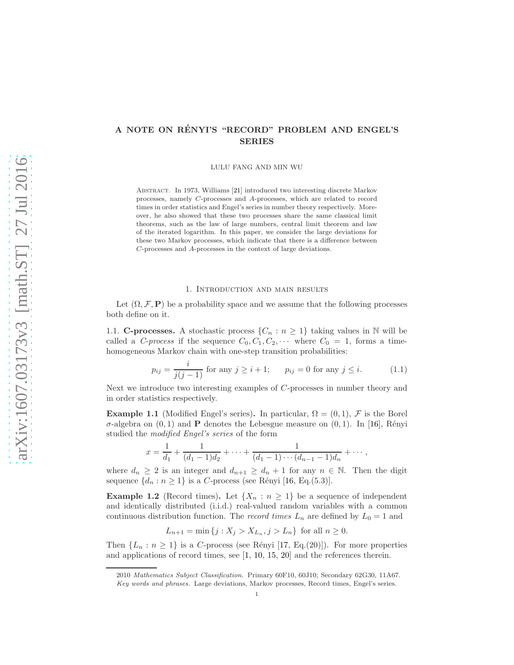# A NOTE ON RÉNYI'S "RECORD" PROBLEM AND ENGEL'S SERIES

LULU FANG AND MIN WU

ABSTRACT. In 1973, Williams [\[21\]](#page-6-0) introduced two interesting discrete Markov processes, namely C-processes and A-processes, which are related to record times in order statistics and Engel's series in number theory respectively. Moreover, he also showed that these two processes share the same classical limit theorems, such as the law of large numbers, central limit theorem and law of the iterated logarithm. In this paper, we consider the large deviations for these two Markov processes, which indicate that there is a difference between C-processes and A-processes in the context of large deviations.

## 1. Introduction and main results

Let  $(\Omega, \mathcal{F}, P)$  be a probability space and we assume that the following processes both define on it.

1.1. **C-processes.** A stochastic process  $\{C_n : n \geq 1\}$  taking values in N will be called a C-process if the sequence  $C_0, C_1, C_2, \cdots$  where  $C_0 = 1$ , forms a timehomogeneous Markov chain with one-step transition probabilities:

$$
p_{ij} = \frac{i}{j(j-1)} \text{ for any } j \ge i+1; \qquad p_{ij} = 0 \text{ for any } j \le i. \tag{1.1}
$$

Next we introduce two interesting examples of C-processes in number theory and in order statistics respectively.

<span id="page-0-0"></span>**Example 1.1** (Modified Engel's series). In particular,  $\Omega = (0, 1)$ , F is the Borel  $\sigma$ -algebra on  $(0, 1)$  and **P** denotes the Lebesgue measure on  $(0, 1)$ . In [\[16\]](#page-6-1), Rényi studied the modified Engel's series of the form

$$
x = \frac{1}{d_1} + \frac{1}{(d_1 - 1)d_2} + \cdots + \frac{1}{(d_1 - 1)\cdots(d_{n-1} - 1)d_n} + \cdots,
$$

where  $d_n \geq 2$  is an integer and  $d_{n+1} \geq d_n + 1$  for any  $n \in \mathbb{N}$ . Then the digit sequence  $\{d_n : n \geq 1\}$  is a C-process (see Rényi [\[16,](#page-6-1) Eq.(5.3)].

<span id="page-0-1"></span>**Example 1.2** (Record times). Let  $\{X_n : n \geq 1\}$  be a sequence of independent and identically distributed (i.i.d.) real-valued random variables with a common continuous distribution function. The *record times*  $L_n$  are defined by  $L_0 = 1$  and

$$
L_{n+1} = \min \{ j : X_j > X_{L_n}, j > L_n \}
$$
 for all  $n \ge 0$ .

Then  $\{L_n : n \geq 1\}$  is a C-process (see Rényi [\[17,](#page-6-2) Eq.(20)]). For more properties and applications of record times, see [\[1,](#page-5-0) [10,](#page-6-3) [15,](#page-6-4) [20\]](#page-6-5) and the references therein.

<sup>2010</sup> Mathematics Subject Classification. Primary 60F10, 60J10; Secondary 62G30, 11A67.

Key words and phrases. Large deviations, Markov processes, Record times, Engel's series.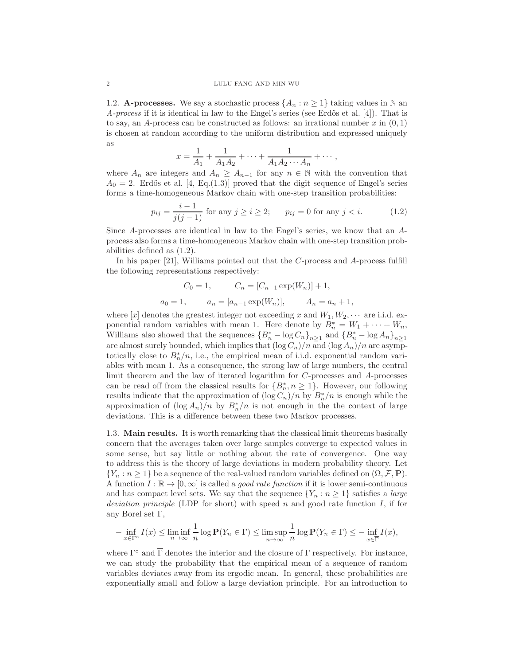1.2. A-processes. We say a stochastic process  $\{A_n : n \geq 1\}$  taking values in N an A-process if it is identical in law to the Engel's series (see Erdős et al. [\[4\]](#page-5-1)). That is to say, an A-process can be constructed as follows: an irrational number  $x$  in  $(0, 1)$ is chosen at random according to the uniform distribution and expressed uniquely as

$$
x = \frac{1}{A_1} + \frac{1}{A_1 A_2} + \dots + \frac{1}{A_1 A_2 \cdots A_n} + \dots,
$$

where  $A_n$  are integers and  $A_n \geq A_{n-1}$  for any  $n \in \mathbb{N}$  with the convention that  $A_0 = 2$ . Erdős et al. [\[4,](#page-5-1) Eq.(1.3)] proved that the digit sequence of Engel's series forms a time-homogeneous Markov chain with one-step transition probabilities:

<span id="page-1-0"></span>
$$
p_{ij} = \frac{i-1}{j(j-1)} \text{ for any } j \ge i \ge 2; \qquad p_{ij} = 0 \text{ for any } j < i. \tag{1.2}
$$

Since A-processes are identical in law to the Engel's series, we know that an Aprocess also forms a time-homogeneous Markov chain with one-step transition probabilities defined as [\(1.2\)](#page-1-0).

In his paper [\[21\]](#page-6-0), Williams pointed out that the C-process and A-process fulfill the following representations respectively:

$$
C_0 = 1,
$$
  $C_n = [C_{n-1} \exp(W_n)] + 1,$   
 $a_0 = 1,$   $a_n = [a_{n-1} \exp(W_n)],$   $A_n = a_n + 1,$ 

where  $[x]$  denotes the greatest integer not exceeding x and  $W_1, W_2, \cdots$  are i.i.d. exponential random variables with mean 1. Here denote by  $B_n^* = W_1 + \cdots + W_n$ , Williams also showed that the sequences  ${B_n^* - \log C_n}_{n \geq 1}$  and  ${B_n^* - \log A_n}_{n \geq 1}$ are almost surely bounded, which implies that  $(\log C_n)/n$  and  $(\log A_n)/n$  are asymptotically close to  $B_n^*/n$ , i.e., the empirical mean of i.i.d. exponential random variables with mean 1. As a consequence, the strong law of large numbers, the central limit theorem and the law of iterated logarithm for C-processes and A-processes can be read off from the classical results for  $\{B_n^*, n \geq 1\}$ . However, our following results indicate that the approximation of  $(\log C_n)/n$  by  $B_n^*/n$  is enough while the approximation of  $(\log A_n)/n$  by  $B_n^*/n$  is not enough in the the context of large deviations. This is a difference between these two Markov processes.

1.3. Main results. It is worth remarking that the classical limit theorems basically concern that the averages taken over large samples converge to expected values in some sense, but say little or nothing about the rate of convergence. One way to address this is the theory of large deviations in modern probability theory. Let  ${Y_n : n \geq 1}$  be a sequence of the real-valued random variables defined on  $(\Omega, \mathcal{F}, P)$ . A function  $I : \mathbb{R} \to [0, \infty]$  is called a *good rate function* if it is lower semi-continuous and has compact level sets. We say that the sequence  $\{Y_n : n \geq 1\}$  satisfies a *large* deviation principle (LDP for short) with speed n and good rate function  $I$ , if for any Borel set Γ,

$$
-\inf_{x\in\Gamma^{\circ}}I(x)\leq\liminf_{n\to\infty}\frac{1}{n}\log\mathbf{P}(Y_n\in\Gamma)\leq\limsup_{n\to\infty}\frac{1}{n}\log\mathbf{P}(Y_n\in\Gamma)\leq-\inf_{x\in\overline{\Gamma}}I(x),
$$

where  $\Gamma^{\circ}$  and  $\overline{\Gamma}$  denotes the interior and the closure of  $\Gamma$  respectively. For instance, we can study the probability that the empirical mean of a sequence of random variables deviates away from its ergodic mean. In general, these probabilities are exponentially small and follow a large deviation principle. For an introduction to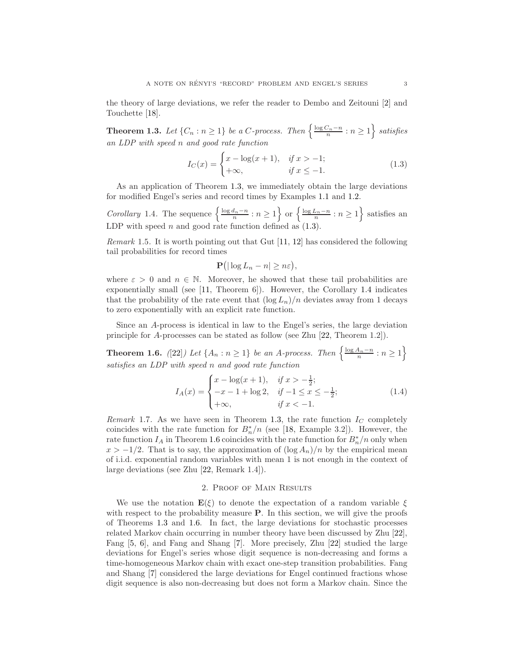the theory of large deviations, we refer the reader to Dembo and Zeitouni [\[2\]](#page-5-2) and Touchette [\[18\]](#page-6-6).

<span id="page-2-0"></span>**Theorem 1.3.** Let  $\{C_n : n \geq 1\}$  be a C-process. Then  $\left\{\frac{\log C_n - n}{n} : n \geq 1\right\}$  satisfies an LDP with speed n and good rate function

<span id="page-2-1"></span>
$$
I_C(x) = \begin{cases} x - \log(x+1), & \text{if } x > -1; \\ +\infty, & \text{if } x \le -1. \end{cases}
$$
 (1.3)

As an application of Theorem [1.3,](#page-2-0) we immediately obtain the large deviations for modified Engel's series and record times by Examples [1.1](#page-0-0) and [1.2.](#page-0-1)

<span id="page-2-2"></span>Corollary 1.4. The sequence  $\left\{\frac{\log d_n - n}{n} : n \geq 1\right\}$  or  $\left\{\frac{\log L_n - n}{n} : n \geq 1\right\}$  satisfies an LDP with speed  $n$  and good rate function defined as  $(1.3)$ .

*Remark* 1.5. It is worth pointing out that Gut  $[11, 12]$  $[11, 12]$  has considered the following tail probabilities for record times

$$
\mathbf{P}(|\log L_n - n| \geq n\varepsilon),
$$

where  $\varepsilon > 0$  and  $n \in \mathbb{N}$ . Moreover, he showed that these tail probabilities are exponentially small (see [\[11,](#page-6-7) Theorem 6]). However, the Corollary [1.4](#page-2-2) indicates that the probability of the rate event that  $(\log L_n)/n$  deviates away from 1 decays to zero exponentially with an explicit rate function.

Since an A-process is identical in law to the Engel's series, the large deviation principle for A-processes can be stated as follow (see Zhu [\[22,](#page-6-9) Theorem 1.2]).

<span id="page-2-3"></span>**Theorem 1.6.** ([\[22\]](#page-6-9)) Let  $\{A_n : n \geq 1\}$  be an A-process. Then  $\left\{\frac{\log A_n - n}{n} : n \geq 1\right\}$ satisfies an LDP with speed n and good rate function

<span id="page-2-4"></span>
$$
I_A(x) = \begin{cases} x - \log(x+1), & \text{if } x > -\frac{1}{2}; \\ -x - 1 + \log 2, & \text{if } -1 \le x \le -\frac{1}{2}; \\ +\infty, & \text{if } x < -1. \end{cases}
$$
(1.4)

Remark 1.7. As we have seen in Theorem [1.3,](#page-2-0) the rate function  $I_C$  completely coincides with the rate function for  $B_n^*/n$  (see [\[18,](#page-6-6) Example 3.2]). However, the rate function  $I_A$  in Theorem [1.6](#page-2-3) coincides with the rate function for  $B_n^*/n$  only when  $x > -1/2$ . That is to say, the approximation of  $(\log A_n)/n$  by the empirical mean of i.i.d. exponential random variables with mean 1 is not enough in the context of large deviations (see Zhu [\[22,](#page-6-9) Remark 1.4]).

# 2. Proof of Main Results

We use the notation  $\mathbf{E}(\xi)$  to denote the expectation of a random variable  $\xi$ with respect to the probability measure  $P$ . In this section, we will give the proofs of Theorems [1.3](#page-2-0) and [1.6.](#page-2-3) In fact, the large deviations for stochastic processes related Markov chain occurring in number theory have been discussed by Zhu [\[22\]](#page-6-9), Fang [\[5,](#page-5-3) [6\]](#page-5-4), and Fang and Shang [\[7\]](#page-5-5). More precisely, Zhu [\[22\]](#page-6-9) studied the large deviations for Engel's series whose digit sequence is non-decreasing and forms a time-homogeneous Markov chain with exact one-step transition probabilities. Fang and Shang [\[7\]](#page-5-5) considered the large deviations for Engel continued fractions whose digit sequence is also non-decreasing but does not form a Markov chain. Since the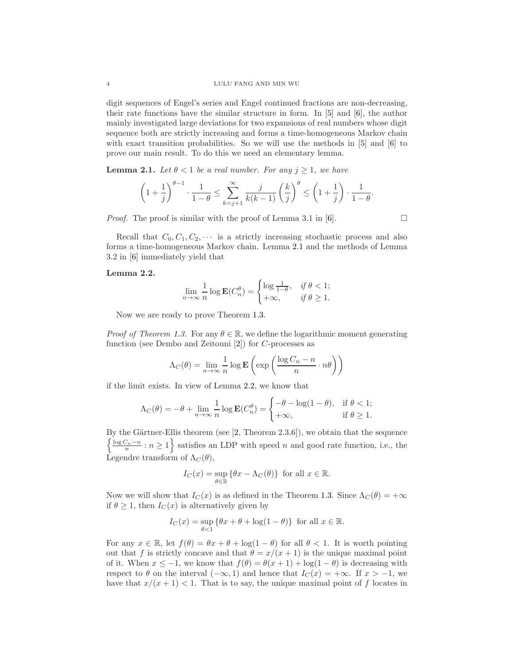digit sequences of Engel's series and Engel continued fractions are non-decreasing, their rate functions have the similar structure in form. In [\[5\]](#page-5-3) and [\[6\]](#page-5-4), the author mainly investigated large deviations for two expansions of real numbers whose digit sequence both are strictly increasing and forms a time-homogeneous Markov chain with exact transition probabilities. So we will use the methods in [\[5\]](#page-5-3) and [\[6\]](#page-5-4) to prove our main result. To do this we need an elementary lemma.

<span id="page-3-0"></span>**Lemma 2.1.** Let  $\theta < 1$  be a real number. For any  $j \geq 1$ , we have

$$
\left(1+\frac{1}{j}\right)^{\theta-1} \cdot \frac{1}{1-\theta} \le \sum_{k=j+1}^{\infty} \frac{j}{k(k-1)} \left(\frac{k}{j}\right)^{\theta} \le \left(1+\frac{1}{j}\right) \cdot \frac{1}{1-\theta}.
$$

*Proof.* The proof is similar with the proof of Lemma 3.1 in [\[6\]](#page-5-4).  $\Box$ 

Recall that  $C_0, C_1, C_2, \cdots$  is a strictly increasing stochastic process and also forms a time-homogeneous Markov chain. Lemma [2.1](#page-3-0) and the methods of Lemma 3.2 in [\[6\]](#page-5-4) immediately yield that

#### <span id="page-3-1"></span>Lemma 2.2.

$$
\lim_{n \to \infty} \frac{1}{n} \log \mathbf{E}(C_n^{\theta}) = \begin{cases} \log \frac{1}{1-\theta}, & \text{if } \theta < 1; \\ +\infty, & \text{if } \theta \ge 1. \end{cases}
$$

Now we are ready to prove Theorem [1.3.](#page-2-0)

*Proof of Theorem [1.3.](#page-2-0)* For any  $\theta \in \mathbb{R}$ , we define the logarithmic moment generating function (see Dembo and Zeitouni [\[2\]](#page-5-2)) for C-processes as

$$
\Lambda_C(\theta) = \lim_{n \to \infty} \frac{1}{n} \log \mathbf{E} \left( \exp \left( \frac{\log C_n - n}{n} \cdot n\theta \right) \right)
$$

if the limit exists. In view of Lemma [2.2,](#page-3-1) we know that

$$
\Lambda_C(\theta) = -\theta + \lim_{n \to \infty} \frac{1}{n} \log \mathbf{E}(C_n^{\theta}) = \begin{cases} -\theta - \log(1 - \theta), & \text{if } \theta < 1; \\ +\infty, & \text{if } \theta \ge 1. \end{cases}
$$

By the Gärtner-Ellis theorem (see  $[2,$  Theorem 2.3.6]), we obtain that the sequence  $\left\{\frac{\log C_n - n}{n} : n \geq 1\right\}$  satisfies an LDP with speed n and good rate function, i.e., the Legendre transform of  $\Lambda_C(\theta)$ ,

$$
I_C(x) = \sup_{\theta \in \mathbb{R}} \{ \theta x - \Lambda_C(\theta) \} \text{ for all } x \in \mathbb{R}.
$$

Now we will show that  $I_C(x)$  is as defined in the Theorem [1.3.](#page-2-0) Since  $\Lambda_C(\theta) = +\infty$ if  $\theta \geq 1$ , then  $I_C(x)$  is alternatively given by

$$
I_C(x) = \sup_{\theta < 1} \{ \theta x + \theta + \log(1 - \theta) \} \text{ for all } x \in \mathbb{R}.
$$

For any  $x \in \mathbb{R}$ , let  $f(\theta) = \theta x + \theta + \log(1 - \theta)$  for all  $\theta < 1$ . It is worth pointing out that f is strictly concave and that  $\theta = x/(x+1)$  is the unique maximal point of it. When  $x \le -1$ , we know that  $f(\theta) = \theta(x+1) + \log(1-\theta)$  is decreasing with respect to  $\theta$  on the interval  $(-\infty, 1)$  and hence that  $I_C(x) = +\infty$ . If  $x > -1$ , we have that  $x/(x+1) < 1$ . That is to say, the unique maximal point of f locates in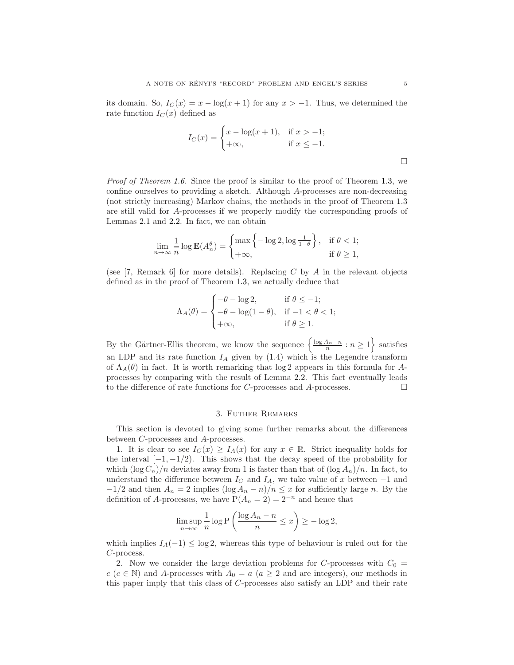its domain. So,  $I_C(x) = x - \log(x + 1)$  for any  $x > -1$ . Thus, we determined the rate function  $I_C(x)$  defined as

$$
I_C(x) = \begin{cases} x - \log(x+1), & \text{if } x > -1; \\ +\infty, & \text{if } x \le -1. \end{cases}
$$

Proof of Theorem [1.6.](#page-2-3) Since the proof is similar to the proof of Theorem [1.3,](#page-2-0) we confine ourselves to providing a sketch. Although A-processes are non-decreasing (not strictly increasing) Markov chains, the methods in the proof of Theorem [1.3](#page-2-0) are still valid for A-processes if we properly modify the corresponding proofs of Lemmas [2.1](#page-3-0) and [2.2.](#page-3-1) In fact, we can obtain

$$
\lim_{n \to \infty} \frac{1}{n} \log \mathbf{E}(A_n^{\theta}) = \begin{cases} \max \left\{ -\log 2, \log \frac{1}{1-\theta} \right\}, & \text{if } \theta < 1; \\ +\infty, & \text{if } \theta \ge 1, \end{cases}
$$

(see [\[7,](#page-5-5) Remark 6] for more details). Replacing C by A in the relevant objects defined as in the proof of Theorem [1.3,](#page-2-0) we actually deduce that

$$
\Lambda_A(\theta) = \begin{cases}\n-\theta - \log 2, & \text{if } \theta \le -1; \\
-\theta - \log(1 - \theta), & \text{if } -1 < \theta < 1; \\
+\infty, & \text{if } \theta \ge 1.\n\end{cases}
$$

By the Gärtner-Ellis theorem, we know the sequence  $\left\{\frac{\log A_n - n}{n} : n \geq 1\right\}$  satisfies an LDP and its rate function  $I_A$  given by [\(1.4\)](#page-2-4) which is the Legendre transform of  $\Lambda_A(\theta)$  in fact. It is worth remarking that  $\log 2$  appears in this formula for Aprocesses by comparing with the result of Lemma [2.2.](#page-3-1) This fact eventually leads to the difference of rate functions for C-processes and A-processes.  $\Box$ 

## 3. Futher Remarks

This section is devoted to giving some further remarks about the differences between C-processes and A-processes.

1. It is clear to see  $I_C(x) \geq I_A(x)$  for any  $x \in \mathbb{R}$ . Strict inequality holds for the interval  $[-1, -1/2)$ . This shows that the decay speed of the probability for which  $(\log C_n)/n$  deviates away from 1 is faster than that of  $(\log A_n)/n$ . In fact, to understand the difference between  $I_C$  and  $I_A$ , we take value of x between  $-1$  and  $-1/2$  and then  $A_n = 2$  implies  $(\log A_n - n)/n \leq x$  for sufficiently large n. By the definition of A-processes, we have  $P(A_n = 2) = 2^{-n}$  and hence that

$$
\limsup_{n \to \infty} \frac{1}{n} \log P\left(\frac{\log A_n - n}{n} \le x\right) \ge -\log 2,
$$

which implies  $I_A(-1) \leq \log 2$ , whereas this type of behaviour is ruled out for the C-process.

2. Now we consider the large deviation problems for C-processes with  $C_0 =$ c (c  $\in$  N) and A-processes with  $A_0 = a$  (a  $\geq$  2 and are integers), our methods in this paper imply that this class of C-processes also satisfy an LDP and their rate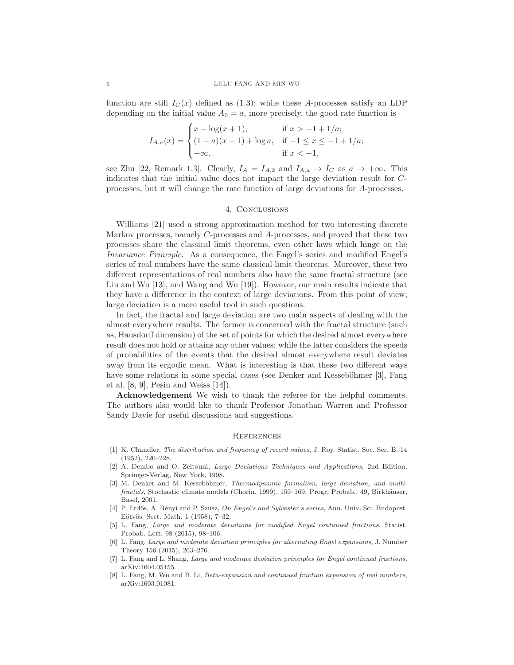function are still  $I<sub>C</sub>(x)$  defined as [\(1.3\)](#page-2-1); while these A-processes satisfy an LDP depending on the initial value  $A_0 = a$ , more precisely, the good rate function is

$$
I_{A,a}(x) = \begin{cases} x - \log(x+1), & \text{if } x > -1 + 1/a; \\ (1-a)(x+1) + \log a, & \text{if } -1 \le x \le -1 + 1/a; \\ +\infty, & \text{if } x < -1, \end{cases}
$$

see Zhu [\[22,](#page-6-9) Remark 1.3]. Clearly,  $I_A = I_{A,2}$  and  $I_{A,a} \rightarrow I_C$  as  $a \rightarrow +\infty$ . This indicates that the initial value does not impact the large deviation result for Cprocesses, but it will change the rate function of large deviations for A-processes.

#### 4. Conclusions

Williams [\[21\]](#page-6-0) used a strong approximation method for two interesting discrete Markov processes, namely C-processes and A-processes, and proved that these two processes share the classical limit theorems, even other laws which hinge on the Invariance Principle. As a consequence, the Engel's series and modified Engel's series of real numbers have the same classical limit theorems. Moreover, these two different representations of real numbers also have the same fractal structure (see Liu and Wu [\[13\]](#page-6-10), and Wang and Wu [\[19\]](#page-6-11)). However, our main results indicate that they have a difference in the context of large deviations. From this point of view, large deviation is a more useful tool in such questions.

In fact, the fractal and large deviation are two main aspects of dealing with the almost everywhere results. The former is concerned with the fractal structure (such as, Hausdorff dimension) of the set of points for which the desired almost everywhere result does not hold or attains any other values; while the latter considers the speeds of probabilities of the events that the desired almost everywhere result deviates away from its ergodic mean. What is interesting is that these two different ways have some relations in some special cases (see Denker and Kesseböhmer [\[3\]](#page-5-6), Fang et al. [\[8,](#page-5-7) [9\]](#page-6-12), Pesin and Weiss [\[14\]](#page-6-13)).

Acknowledgement We wish to thank the referee for the helpful comments. The authors also would like to thank Professor Jonathan Warren and Professor Sandy Davie for useful discussions and suggestions.

#### **REFERENCES**

- <span id="page-5-0"></span>[1] K. Chandler, *The distribution and frequency of record values*, J. Roy. Statist. Soc. Ser. B. 14 (1952), 220–228.
- <span id="page-5-2"></span>[2] A. Dembo and O. Zeitouni, Large Deviations Techniques and Applications, 2nd Edition, Springer-Verlag, New York, 1998.
- <span id="page-5-6"></span>[3] M. Denker and M. Kesseböhmer, Thermodynamic formalism, large deviation, and multifractals, Stochastic climate models (Chorin, 1999), 159–169, Progr. Probab., 49, Birkhäuser, Basel, 2001.
- <span id="page-5-1"></span>[4] P. Erdős, A. Rényi and P. Szüsz, On Engel's and Sylvester's series, Ann. Univ. Sci. Budapest. Eötvös. Sect. Math. 1 (1958), 7-32.
- <span id="page-5-3"></span>[5] L. Fang, Large and moderate deviations for modified Engel continued fractions, Statist. Probab. Lett. 98 (2015), 98–106.
- <span id="page-5-4"></span>[6] L. Fang, Large and moderate deviation principles for alternating Engel expansions, J. Number Theory 156 (2015), 263–276.
- <span id="page-5-5"></span>[7] L. Fang and L. Shang, Large and moderate deviation principles for Engel continued fractions, arXiv:1604.05155.
- <span id="page-5-7"></span>[8] L. Fang, M. Wu and B. Li, *Beta-expansion and continued fraction expansion of real numbers*, arXiv:1603.01081.